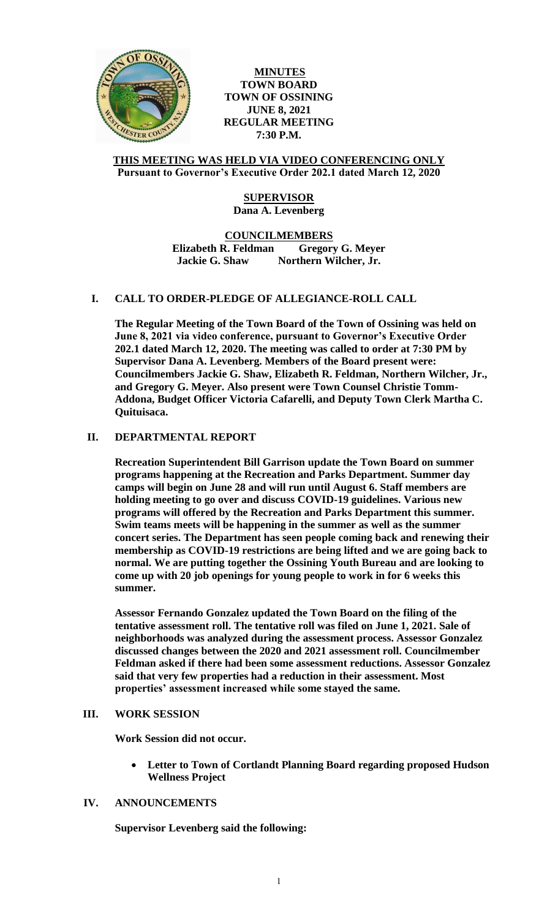

**MINUTES TOWN BOARD TOWN OF OSSINING JUNE 8, 2021 REGULAR MEETING 7:30 P.M.**

## **THIS MEETING WAS HELD VIA VIDEO CONFERENCING ONLY Pursuant to Governor's Executive Order 202.1 dated March 12, 2020**

# **SUPERVISOR Dana A. Levenberg**

**COUNCILMEMBERS Elizabeth R. Feldman Gregory G. Meyer Jackie G. Shaw Northern Wilcher, Jr.**

# **I. CALL TO ORDER-PLEDGE OF ALLEGIANCE-ROLL CALL**

**The Regular Meeting of the Town Board of the Town of Ossining was held on June 8, 2021 via video conference, pursuant to Governor's Executive Order 202.1 dated March 12, 2020. The meeting was called to order at 7:30 PM by Supervisor Dana A. Levenberg. Members of the Board present were: Councilmembers Jackie G. Shaw, Elizabeth R. Feldman, Northern Wilcher, Jr., and Gregory G. Meyer. Also present were Town Counsel Christie Tomm-Addona, Budget Officer Victoria Cafarelli, and Deputy Town Clerk Martha C. Quituisaca.**

# **II. DEPARTMENTAL REPORT**

**Recreation Superintendent Bill Garrison update the Town Board on summer programs happening at the Recreation and Parks Department. Summer day camps will begin on June 28 and will run until August 6. Staff members are holding meeting to go over and discuss COVID-19 guidelines. Various new programs will offered by the Recreation and Parks Department this summer. Swim teams meets will be happening in the summer as well as the summer concert series. The Department has seen people coming back and renewing their membership as COVID-19 restrictions are being lifted and we are going back to normal. We are putting together the Ossining Youth Bureau and are looking to come up with 20 job openings for young people to work in for 6 weeks this summer.** 

**Assessor Fernando Gonzalez updated the Town Board on the filing of the tentative assessment roll. The tentative roll was filed on June 1, 2021. Sale of neighborhoods was analyzed during the assessment process. Assessor Gonzalez discussed changes between the 2020 and 2021 assessment roll. Councilmember Feldman asked if there had been some assessment reductions. Assessor Gonzalez said that very few properties had a reduction in their assessment. Most properties' assessment increased while some stayed the same.** 

## **III. WORK SESSION**

**Work Session did not occur.**

 **Letter to Town of Cortlandt Planning Board regarding proposed Hudson Wellness Project**

## **IV. ANNOUNCEMENTS**

**Supervisor Levenberg said the following:**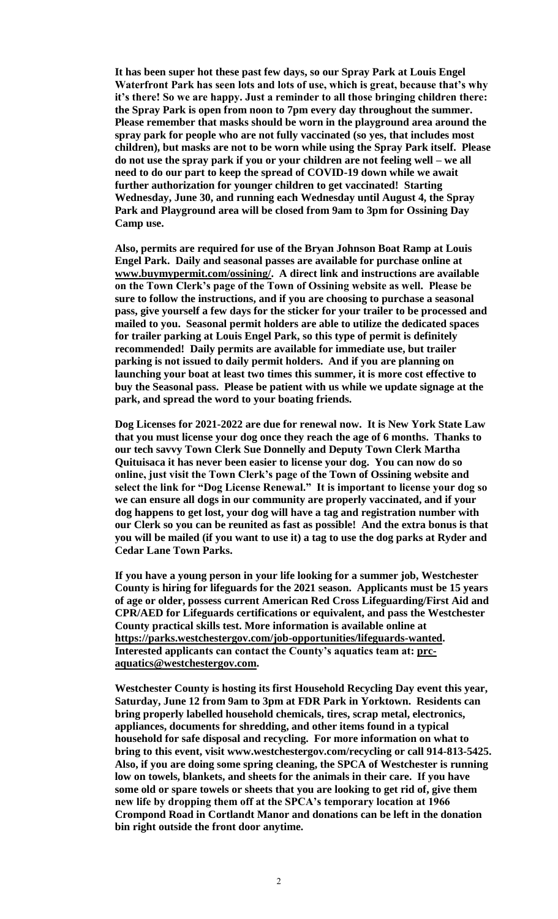**It has been super hot these past few days, so our Spray Park at Louis Engel Waterfront Park has seen lots and lots of use, which is great, because that's why it's there! So we are happy. Just a reminder to all those bringing children there: the Spray Park is open from noon to 7pm every day throughout the summer. Please remember that masks should be worn in the playground area around the spray park for people who are not fully vaccinated (so yes, that includes most children), but masks are not to be worn while using the Spray Park itself. Please do not use the spray park if you or your children are not feeling well – we all need to do our part to keep the spread of COVID-19 down while we await further authorization for younger children to get vaccinated! Starting Wednesday, June 30, and running each Wednesday until August 4, the Spray Park and Playground area will be closed from 9am to 3pm for Ossining Day Camp use.** 

**Also, permits are required for use of the Bryan Johnson Boat Ramp at Louis Engel Park. Daily and seasonal passes are available for purchase online at [www.buymypermit.com/ossining/.](http://www.buymypermit.com/ossining/) A direct link and instructions are available on the Town Clerk's page of the Town of Ossining website as well. Please be sure to follow the instructions, and if you are choosing to purchase a seasonal pass, give yourself a few days for the sticker for your trailer to be processed and mailed to you. Seasonal permit holders are able to utilize the dedicated spaces for trailer parking at Louis Engel Park, so this type of permit is definitely recommended! Daily permits are available for immediate use, but trailer parking is not issued to daily permit holders. And if you are planning on launching your boat at least two times this summer, it is more cost effective to buy the Seasonal pass. Please be patient with us while we update signage at the park, and spread the word to your boating friends.** 

**Dog Licenses for 2021-2022 are due for renewal now. It is New York State Law that you must license your dog once they reach the age of 6 months. Thanks to our tech savvy Town Clerk Sue Donnelly and Deputy Town Clerk Martha Quituisaca it has never been easier to license your dog. You can now do so online, just visit the Town Clerk's page of the Town of Ossining website and select the link for "Dog License Renewal." It is important to license your dog so we can ensure all dogs in our community are properly vaccinated, and if your dog happens to get lost, your dog will have a tag and registration number with our Clerk so you can be reunited as fast as possible! And the extra bonus is that you will be mailed (if you want to use it) a tag to use the dog parks at Ryder and Cedar Lane Town Parks.** 

**If you have a young person in your life looking for a summer job, Westchester County is hiring for lifeguards for the 2021 season. Applicants must be 15 years of age or older, possess current American Red Cross Lifeguarding/First Aid and CPR/AED for Lifeguards certifications or equivalent, and pass the Westchester County practical skills test. More information is available online at [https://parks.westchestergov.com/job-opportunities/lifeguards-wanted.](https://parks.westchestergov.com/job-opportunities/lifeguards-wanted) Interested applicants can contact the County's aquatics team at: [prc](mailto:prc-aquatics@westchestergov.com)[aquatics@westchestergov.com.](mailto:prc-aquatics@westchestergov.com)**

**Westchester County is hosting its first Household Recycling Day event this year, Saturday, June 12 from 9am to 3pm at FDR Park in Yorktown. Residents can bring properly labelled household chemicals, tires, scrap metal, electronics, appliances, documents for shredding, and other items found in a typical household for safe disposal and recycling. For more information on what to bring to this event, visit www.westchestergov.com/recycling or call 914-813-5425. Also, if you are doing some spring cleaning, the SPCA of Westchester is running low on towels, blankets, and sheets for the animals in their care. If you have some old or spare towels or sheets that you are looking to get rid of, give them new life by dropping them off at the SPCA's temporary location at 1966 Crompond Road in Cortlandt Manor and donations can be left in the donation bin right outside the front door anytime.**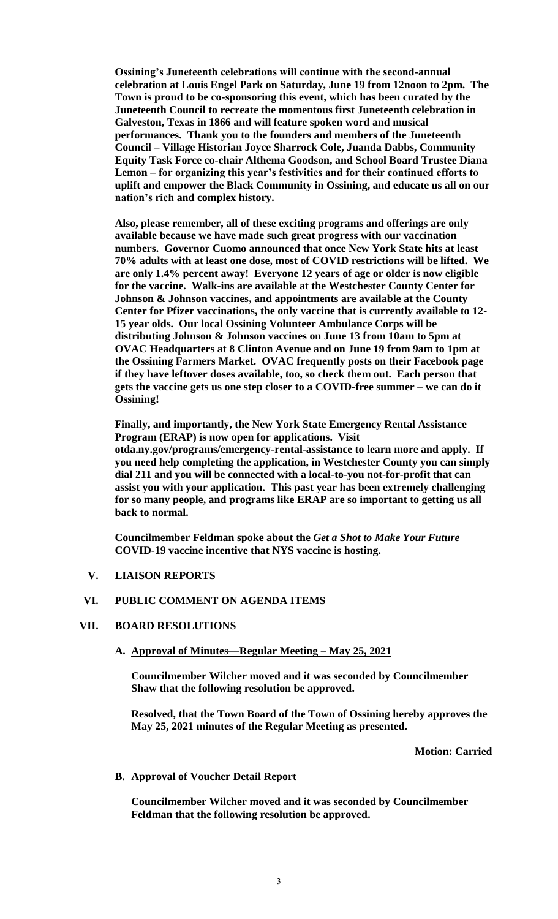**Ossining's Juneteenth celebrations will continue with the second-annual celebration at Louis Engel Park on Saturday, June 19 from 12noon to 2pm. The Town is proud to be co-sponsoring this event, which has been curated by the Juneteenth Council to recreate the momentous first Juneteenth celebration in Galveston, Texas in 1866 and will feature spoken word and musical performances. Thank you to the founders and members of the Juneteenth Council – Village Historian Joyce Sharrock Cole, Juanda Dabbs, Community Equity Task Force co-chair Althema Goodson, and School Board Trustee Diana Lemon – for organizing this year's festivities and for their continued efforts to uplift and empower the Black Community in Ossining, and educate us all on our nation's rich and complex history.** 

**Also, please remember, all of these exciting programs and offerings are only available because we have made such great progress with our vaccination numbers. Governor Cuomo announced that once New York State hits at least 70% adults with at least one dose, most of COVID restrictions will be lifted. We are only 1.4% percent away! Everyone 12 years of age or older is now eligible for the vaccine. Walk-ins are available at the Westchester County Center for Johnson & Johnson vaccines, and appointments are available at the County Center for Pfizer vaccinations, the only vaccine that is currently available to 12- 15 year olds. Our local Ossining Volunteer Ambulance Corps will be distributing Johnson & Johnson vaccines on June 13 from 10am to 5pm at OVAC Headquarters at 8 Clinton Avenue and on June 19 from 9am to 1pm at the Ossining Farmers Market. OVAC frequently posts on their Facebook page if they have leftover doses available, too, so check them out. Each person that gets the vaccine gets us one step closer to a COVID-free summer – we can do it Ossining!** 

**Finally, and importantly, the New York State Emergency Rental Assistance Program (ERAP) is now open for applications. Visit** 

**otda.ny.gov/programs/emergency-rental-assistance to learn more and apply. If you need help completing the application, in Westchester County you can simply dial 211 and you will be connected with a local-to-you not-for-profit that can assist you with your application. This past year has been extremely challenging for so many people, and programs like ERAP are so important to getting us all back to normal.** 

**Councilmember Feldman spoke about the** *Get a Shot to Make Your Future* **COVID-19 vaccine incentive that NYS vaccine is hosting.** 

**V. LIAISON REPORTS**

## **VI. PUBLIC COMMENT ON AGENDA ITEMS**

## **VII. BOARD RESOLUTIONS**

**A. Approval of Minutes—Regular Meeting – May 25, 2021**

**Councilmember Wilcher moved and it was seconded by Councilmember Shaw that the following resolution be approved.** 

**Resolved, that the Town Board of the Town of Ossining hereby approves the May 25, 2021 minutes of the Regular Meeting as presented.**

**Motion: Carried**

### **B. Approval of Voucher Detail Report**

**Councilmember Wilcher moved and it was seconded by Councilmember Feldman that the following resolution be approved.**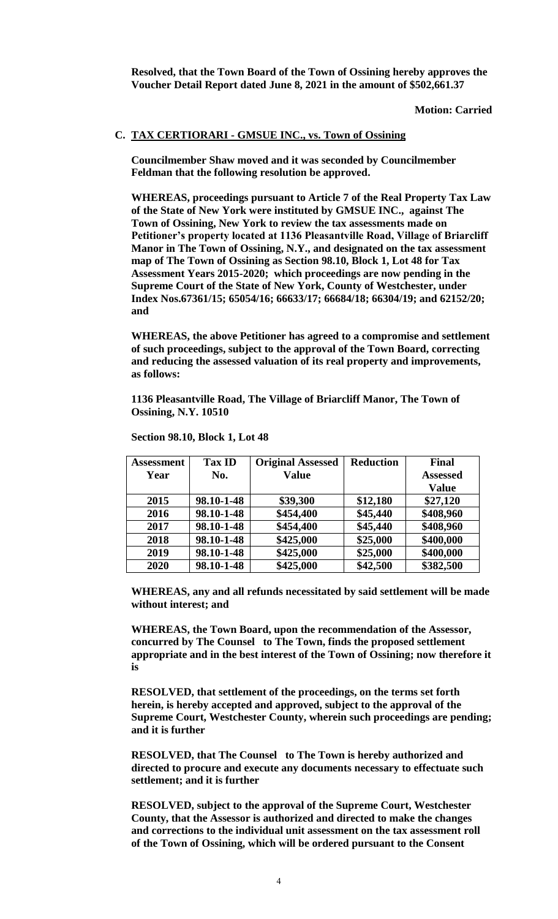**Resolved, that the Town Board of the Town of Ossining hereby approves the Voucher Detail Report dated June 8, 2021 in the amount of \$502,661.37**

**Motion: Carried**

## **C. TAX CERTIORARI - GMSUE INC., vs. Town of Ossining**

**Councilmember Shaw moved and it was seconded by Councilmember Feldman that the following resolution be approved.** 

**WHEREAS, proceedings pursuant to Article 7 of the Real Property Tax Law of the State of New York were instituted by GMSUE INC., against The Town of Ossining, New York to review the tax assessments made on Petitioner's property located at 1136 Pleasantville Road, Village of Briarcliff Manor in The Town of Ossining, N.Y., and designated on the tax assessment map of The Town of Ossining as Section 98.10, Block 1, Lot 48 for Tax Assessment Years 2015-2020; which proceedings are now pending in the Supreme Court of the State of New York, County of Westchester, under Index Nos.67361/15; 65054/16; 66633/17; 66684/18; 66304/19; and 62152/20; and** 

**WHEREAS, the above Petitioner has agreed to a compromise and settlement of such proceedings, subject to the approval of the Town Board, correcting and reducing the assessed valuation of its real property and improvements, as follows:**

**1136 Pleasantville Road, The Village of Briarcliff Manor, The Town of Ossining, N.Y. 10510** 

| <b>Assessment</b> | <b>Tax ID</b> | <b>Original Assessed</b> | <b>Reduction</b> | <b>Final</b>    |
|-------------------|---------------|--------------------------|------------------|-----------------|
| Year              | No.           | <b>Value</b>             |                  | <b>Assessed</b> |
|                   |               |                          |                  | <b>Value</b>    |
| 2015              | 98.10-1-48    | \$39,300                 | \$12,180         | \$27,120        |
| 2016              | 98.10-1-48    | \$454,400                | \$45,440         | \$408,960       |
| 2017              | 98.10-1-48    | \$454,400                | \$45,440         | \$408,960       |
| 2018              | 98.10-1-48    | \$425,000                | \$25,000         | \$400,000       |
| 2019              | 98.10-1-48    | \$425,000                | \$25,000         | \$400,000       |
| 2020              | 98.10-1-48    | \$425,000                | \$42,500         | \$382,500       |

**Section 98.10, Block 1, Lot 48**

**WHEREAS, any and all refunds necessitated by said settlement will be made without interest; and** 

**WHEREAS, the Town Board, upon the recommendation of the Assessor, concurred by The Counsel to The Town, finds the proposed settlement appropriate and in the best interest of the Town of Ossining; now therefore it is**

**RESOLVED, that settlement of the proceedings, on the terms set forth herein, is hereby accepted and approved, subject to the approval of the Supreme Court, Westchester County, wherein such proceedings are pending; and it is further**

**RESOLVED, that The Counsel to The Town is hereby authorized and directed to procure and execute any documents necessary to effectuate such settlement; and it is further**

**RESOLVED, subject to the approval of the Supreme Court, Westchester County, that the Assessor is authorized and directed to make the changes and corrections to the individual unit assessment on the tax assessment roll of the Town of Ossining, which will be ordered pursuant to the Consent**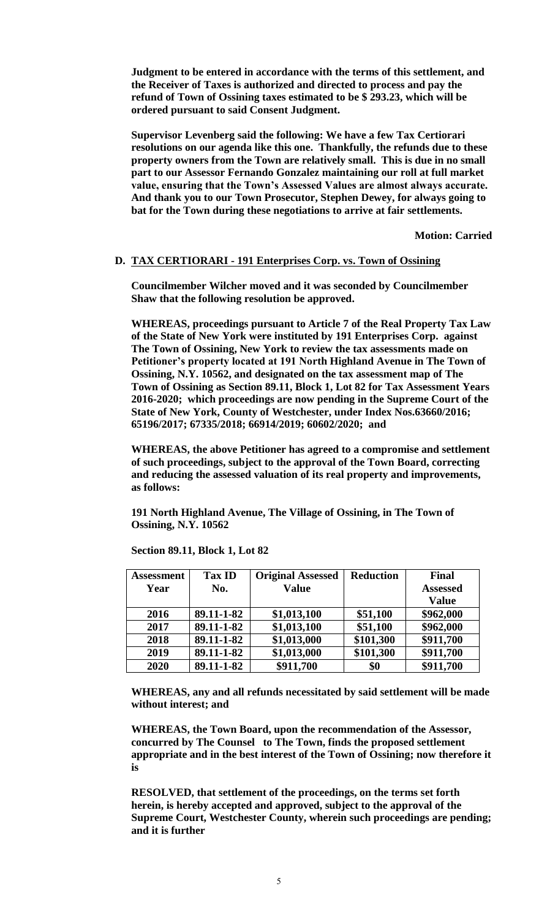**Judgment to be entered in accordance with the terms of this settlement, and the Receiver of Taxes is authorized and directed to process and pay the refund of Town of Ossining taxes estimated to be \$ 293.23, which will be ordered pursuant to said Consent Judgment.** 

**Supervisor Levenberg said the following: We have a few Tax Certiorari resolutions on our agenda like this one. Thankfully, the refunds due to these property owners from the Town are relatively small. This is due in no small part to our Assessor Fernando Gonzalez maintaining our roll at full market value, ensuring that the Town's Assessed Values are almost always accurate. And thank you to our Town Prosecutor, Stephen Dewey, for always going to bat for the Town during these negotiations to arrive at fair settlements.** 

**Motion: Carried**

## **D. TAX CERTIORARI - 191 Enterprises Corp. vs. Town of Ossining**

**Councilmember Wilcher moved and it was seconded by Councilmember Shaw that the following resolution be approved.** 

**WHEREAS, proceedings pursuant to Article 7 of the Real Property Tax Law of the State of New York were instituted by 191 Enterprises Corp. against The Town of Ossining, New York to review the tax assessments made on Petitioner's property located at 191 North Highland Avenue in The Town of Ossining, N.Y. 10562, and designated on the tax assessment map of The Town of Ossining as Section 89.11, Block 1, Lot 82 for Tax Assessment Years 2016-2020; which proceedings are now pending in the Supreme Court of the State of New York, County of Westchester, under Index Nos.63660/2016; 65196/2017; 67335/2018; 66914/2019; 60602/2020; and** 

**WHEREAS, the above Petitioner has agreed to a compromise and settlement of such proceedings, subject to the approval of the Town Board, correcting and reducing the assessed valuation of its real property and improvements, as follows:**

**191 North Highland Avenue, The Village of Ossining, in The Town of Ossining, N.Y. 10562** 

| Assessment | <b>Tax ID</b> | <b>Original Assessed</b> | <b>Reduction</b> | Final           |
|------------|---------------|--------------------------|------------------|-----------------|
| Year       | No.           | <b>Value</b>             |                  | <b>Assessed</b> |
|            |               |                          |                  | <b>Value</b>    |
| 2016       | 89.11-1-82    | \$1,013,100              | \$51,100         | \$962,000       |
| 2017       | 89.11-1-82    | \$1,013,100              | \$51,100         | \$962,000       |
| 2018       | 89.11-1-82    | \$1,013,000              | \$101,300        | \$911,700       |
| 2019       | 89.11-1-82    | \$1,013,000              | \$101,300        | \$911,700       |
| 2020       | 89.11-1-82    | \$911,700                | \$0              | \$911,700       |

**Section 89.11, Block 1, Lot 82**

**WHEREAS, any and all refunds necessitated by said settlement will be made without interest; and** 

**WHEREAS, the Town Board, upon the recommendation of the Assessor, concurred by The Counsel to The Town, finds the proposed settlement appropriate and in the best interest of the Town of Ossining; now therefore it is**

**RESOLVED, that settlement of the proceedings, on the terms set forth herein, is hereby accepted and approved, subject to the approval of the Supreme Court, Westchester County, wherein such proceedings are pending; and it is further**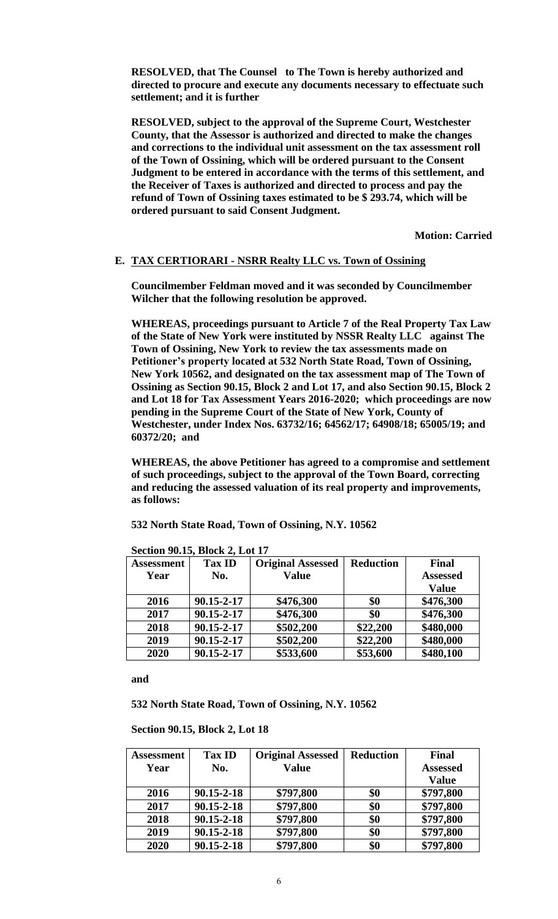**RESOLVED, that The Counsel to The Town is hereby authorized and directed to procure and execute any documents necessary to effectuate such settlement; and it is further**

**RESOLVED, subject to the approval of the Supreme Court, Westchester County, that the Assessor is authorized and directed to make the changes and corrections to the individual unit assessment on the tax assessment roll of the Town of Ossining, which will be ordered pursuant to the Consent Judgment to be entered in accordance with the terms of this settlement, and the Receiver of Taxes is authorized and directed to process and pay the refund of Town of Ossining taxes estimated to be \$ 293.74, which will be ordered pursuant to said Consent Judgment.** 

**Motion: Carried**

## **E. TAX CERTIORARI - NSRR Realty LLC vs. Town of Ossining**

**Councilmember Feldman moved and it was seconded by Councilmember Wilcher that the following resolution be approved.** 

**WHEREAS, proceedings pursuant to Article 7 of the Real Property Tax Law of the State of New York were instituted by NSSR Realty LLC against The Town of Ossining, New York to review the tax assessments made on Petitioner's property located at 532 North State Road, Town of Ossining, New York 10562, and designated on the tax assessment map of The Town of Ossining as Section 90.15, Block 2 and Lot 17, and also Section 90.15, Block 2 and Lot 18 for Tax Assessment Years 2016-2020; which proceedings are now pending in the Supreme Court of the State of New York, County of Westchester, under Index Nos. 63732/16; 64562/17; 64908/18; 65005/19; and 60372/20; and** 

**WHEREAS, the above Petitioner has agreed to a compromise and settlement of such proceedings, subject to the approval of the Town Board, correcting and reducing the assessed valuation of its real property and improvements, as follows:**

**532 North State Road, Town of Ossining, N.Y. 10562** 

| <b>Assessment</b> | <b>Tax ID</b> | <b>Original Assessed</b> | <b>Reduction</b> | <b>Final</b>    |
|-------------------|---------------|--------------------------|------------------|-----------------|
| Year              | No.           | <b>Value</b>             |                  | <b>Assessed</b> |
|                   |               |                          |                  | <b>Value</b>    |
| 2016              | 90.15-2-17    | \$476,300                | \$0              | \$476,300       |
| 2017              | 90.15-2-17    | \$476,300                | \$0              | \$476,300       |
| 2018              | 90.15-2-17    | \$502,200                | \$22,200         | \$480,000       |
| 2019              | 90.15-2-17    | \$502,200                | \$22,200         | \$480,000       |
| 2020              | 90.15-2-17    | \$533,600                | \$53,600         | \$480,100       |

**Section 90.15, Block 2, Lot 17**

**and**

**532 North State Road, Town of Ossining, N.Y. 10562**

**Section 90.15, Block 2, Lot 18**

| <b>Assessment</b> | <b>Tax ID</b>    | <b>Original Assessed</b> | <b>Reduction</b> | <b>Final</b>    |
|-------------------|------------------|--------------------------|------------------|-----------------|
| Year              | No.              | <b>Value</b>             |                  | <b>Assessed</b> |
|                   |                  |                          |                  | <b>Value</b>    |
| 2016              | 90.15-2-18       | \$797,800                | \$0              | \$797,800       |
| 2017              | $90.15 - 2 - 18$ | \$797,800                | \$0              | \$797,800       |
| 2018              | $90.15 - 2 - 18$ | \$797,800                | \$0              | \$797,800       |
| 2019              | 90.15-2-18       | \$797,800                | \$0              | \$797,800       |
| 2020              | 90.15-2-18       | \$797,800                | \$0              | \$797,800       |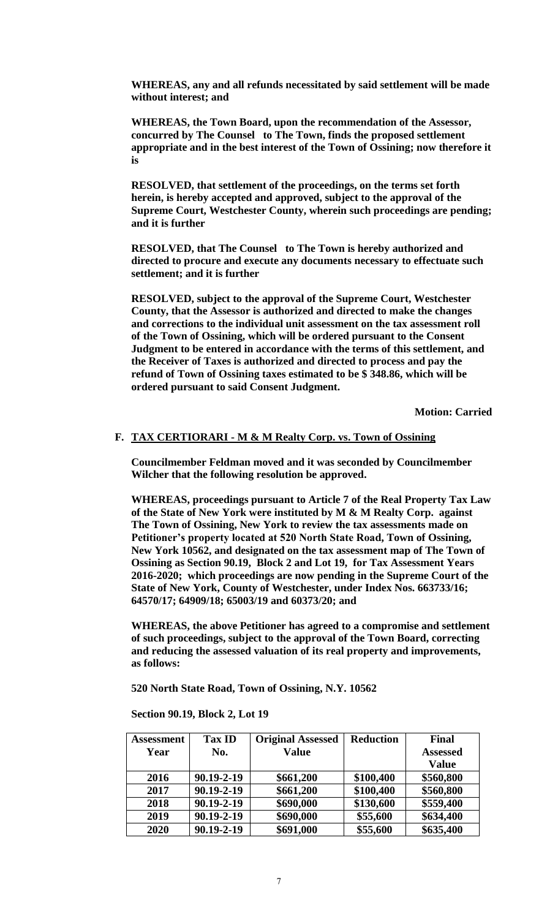**WHEREAS, any and all refunds necessitated by said settlement will be made without interest; and** 

**WHEREAS, the Town Board, upon the recommendation of the Assessor, concurred by The Counsel to The Town, finds the proposed settlement appropriate and in the best interest of the Town of Ossining; now therefore it is**

**RESOLVED, that settlement of the proceedings, on the terms set forth herein, is hereby accepted and approved, subject to the approval of the Supreme Court, Westchester County, wherein such proceedings are pending; and it is further**

**RESOLVED, that The Counsel to The Town is hereby authorized and directed to procure and execute any documents necessary to effectuate such settlement; and it is further**

**RESOLVED, subject to the approval of the Supreme Court, Westchester County, that the Assessor is authorized and directed to make the changes and corrections to the individual unit assessment on the tax assessment roll of the Town of Ossining, which will be ordered pursuant to the Consent Judgment to be entered in accordance with the terms of this settlement, and the Receiver of Taxes is authorized and directed to process and pay the refund of Town of Ossining taxes estimated to be \$ 348.86, which will be ordered pursuant to said Consent Judgment.** 

**Motion: Carried**

## **F. TAX CERTIORARI - M & M Realty Corp. vs. Town of Ossining**

**Councilmember Feldman moved and it was seconded by Councilmember Wilcher that the following resolution be approved.**

**WHEREAS, proceedings pursuant to Article 7 of the Real Property Tax Law of the State of New York were instituted by M & M Realty Corp. against The Town of Ossining, New York to review the tax assessments made on Petitioner's property located at 520 North State Road, Town of Ossining, New York 10562, and designated on the tax assessment map of The Town of Ossining as Section 90.19, Block 2 and Lot 19, for Tax Assessment Years 2016-2020; which proceedings are now pending in the Supreme Court of the State of New York, County of Westchester, under Index Nos. 663733/16; 64570/17; 64909/18; 65003/19 and 60373/20; and** 

**WHEREAS, the above Petitioner has agreed to a compromise and settlement of such proceedings, subject to the approval of the Town Board, correcting and reducing the assessed valuation of its real property and improvements, as follows:**

**520 North State Road, Town of Ossining, N.Y. 10562** 

**Section 90.19, Block 2, Lot 19**

| <b>Assessment</b> | <b>Tax ID</b>    | <b>Original Assessed</b> | <b>Reduction</b> | Final           |
|-------------------|------------------|--------------------------|------------------|-----------------|
| Year              | No.              | <b>Value</b>             |                  | <b>Assessed</b> |
|                   |                  |                          |                  | <b>Value</b>    |
| 2016              | 90.19-2-19       | \$661,200                | \$100,400        | \$560,800       |
| 2017              | 90.19-2-19       | \$661,200                | \$100,400        | \$560,800       |
| 2018              | $90.19 - 2 - 19$ | \$690,000                | \$130,600        | \$559,400       |
| 2019              | $90.19 - 2 - 19$ | \$690,000                | \$55,600         | \$634,400       |
| 2020              | 90.19-2-19       | \$691,000                | \$55,600         | \$635,400       |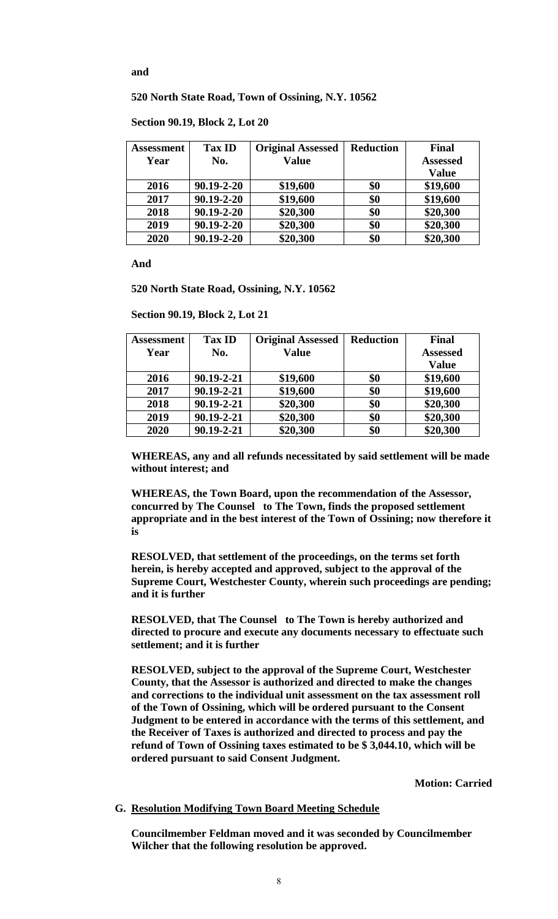### **and**

### **520 North State Road, Town of Ossining, N.Y. 10562**

**Section 90.19, Block 2, Lot 20**

| Assessment | <b>Tax ID</b>    | <b>Original Assessed</b> | <b>Reduction</b> | <b>Final</b>    |
|------------|------------------|--------------------------|------------------|-----------------|
| Year       | No.              | <b>Value</b>             |                  | <b>Assessed</b> |
|            |                  |                          |                  | <b>Value</b>    |
| 2016       | $90.19 - 2 - 20$ | \$19,600                 | \$0              | \$19,600        |
| 2017       | $90.19 - 2 - 20$ | \$19,600                 | \$0              | \$19,600        |
| 2018       | $90.19 - 2 - 20$ | \$20,300                 | \$0              | \$20,300        |
| 2019       | $90.19 - 2 - 20$ | \$20,300                 | \$0              | \$20,300        |
| 2020       | $90.19 - 2 - 20$ | \$20,300                 | \$0              | \$20,300        |

**And** 

**520 North State Road, Ossining, N.Y. 10562**

**Section 90.19, Block 2, Lot 21**

| Assessment | <b>Tax ID</b>    | <b>Original Assessed</b> | <b>Reduction</b> | <b>Final</b>    |
|------------|------------------|--------------------------|------------------|-----------------|
| Year       | No.              | <b>Value</b>             |                  | <b>Assessed</b> |
|            |                  |                          |                  | <b>Value</b>    |
| 2016       | $90.19 - 2 - 21$ | \$19,600                 | \$0              | \$19,600        |
| 2017       | $90.19 - 2 - 21$ | \$19,600                 | \$0              | \$19,600        |
| 2018       | $90.19 - 2 - 21$ | \$20,300                 | \$0              | \$20,300        |
| 2019       | 90.19-2-21       | \$20,300                 | \$0              | \$20,300        |
| 2020       | 90.19-2-21       | \$20,300                 | \$0              | \$20,300        |

**WHEREAS, any and all refunds necessitated by said settlement will be made without interest; and** 

**WHEREAS, the Town Board, upon the recommendation of the Assessor, concurred by The Counsel to The Town, finds the proposed settlement appropriate and in the best interest of the Town of Ossining; now therefore it is**

**RESOLVED, that settlement of the proceedings, on the terms set forth herein, is hereby accepted and approved, subject to the approval of the Supreme Court, Westchester County, wherein such proceedings are pending; and it is further**

**RESOLVED, that The Counsel to The Town is hereby authorized and directed to procure and execute any documents necessary to effectuate such settlement; and it is further**

**RESOLVED, subject to the approval of the Supreme Court, Westchester County, that the Assessor is authorized and directed to make the changes and corrections to the individual unit assessment on the tax assessment roll of the Town of Ossining, which will be ordered pursuant to the Consent Judgment to be entered in accordance with the terms of this settlement, and the Receiver of Taxes is authorized and directed to process and pay the refund of Town of Ossining taxes estimated to be \$ 3,044.10, which will be ordered pursuant to said Consent Judgment.** 

**Motion: Carried**

#### **G. Resolution Modifying Town Board Meeting Schedule**

**Councilmember Feldman moved and it was seconded by Councilmember Wilcher that the following resolution be approved.**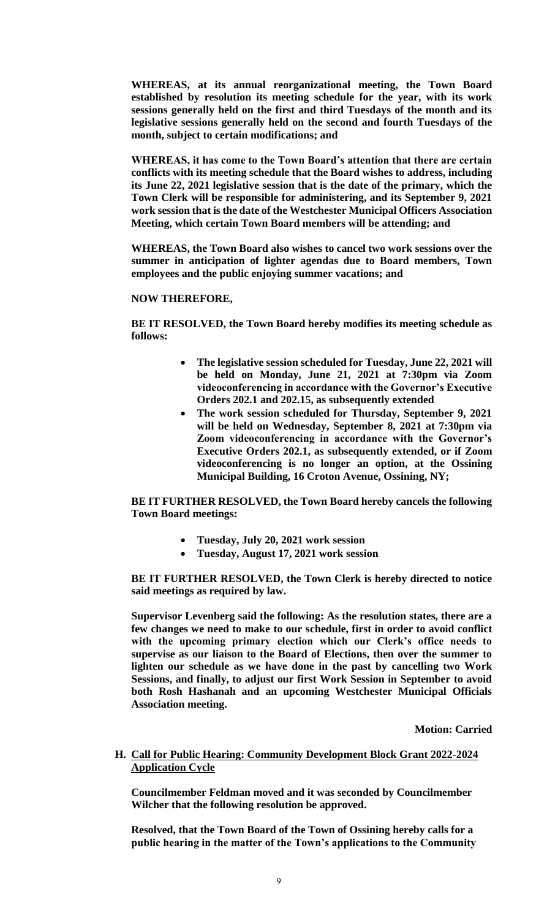**WHEREAS, at its annual reorganizational meeting, the Town Board established by resolution its meeting schedule for the year, with its work sessions generally held on the first and third Tuesdays of the month and its legislative sessions generally held on the second and fourth Tuesdays of the month, subject to certain modifications; and**

**WHEREAS, it has come to the Town Board's attention that there are certain conflicts with its meeting schedule that the Board wishes to address, including its June 22, 2021 legislative session that is the date of the primary, which the Town Clerk will be responsible for administering, and its September 9, 2021 work session that is the date of the Westchester Municipal Officers Association Meeting, which certain Town Board members will be attending; and**

**WHEREAS, the Town Board also wishes to cancel two work sessions over the summer in anticipation of lighter agendas due to Board members, Town employees and the public enjoying summer vacations; and**

## **NOW THEREFORE,**

**BE IT RESOLVED, the Town Board hereby modifies its meeting schedule as follows:**

- **The legislative session scheduled for Tuesday, June 22, 2021 will be held on Monday, June 21, 2021 at 7:30pm via Zoom videoconferencing in accordance with the Governor's Executive Orders 202.1 and 202.15, as subsequently extended**
- **The work session scheduled for Thursday, September 9, 2021 will be held on Wednesday, September 8, 2021 at 7:30pm via Zoom videoconferencing in accordance with the Governor's Executive Orders 202.1, as subsequently extended, or if Zoom videoconferencing is no longer an option, at the Ossining Municipal Building, 16 Croton Avenue, Ossining, NY;**

**BE IT FURTHER RESOLVED, the Town Board hereby cancels the following Town Board meetings:**

- **Tuesday, July 20, 2021 work session**
- **Tuesday, August 17, 2021 work session**

**BE IT FURTHER RESOLVED, the Town Clerk is hereby directed to notice said meetings as required by law.** 

**Supervisor Levenberg said the following: As the resolution states, there are a few changes we need to make to our schedule, first in order to avoid conflict with the upcoming primary election which our Clerk's office needs to supervise as our liaison to the Board of Elections, then over the summer to lighten our schedule as we have done in the past by cancelling two Work Sessions, and finally, to adjust our first Work Session in September to avoid both Rosh Hashanah and an upcoming Westchester Municipal Officials Association meeting.**

**Motion: Carried**

# **H. Call for Public Hearing: Community Development Block Grant 2022-2024 Application Cycle**

**Councilmember Feldman moved and it was seconded by Councilmember Wilcher that the following resolution be approved.** 

**Resolved, that the Town Board of the Town of Ossining hereby calls for a public hearing in the matter of the Town's applications to the Community**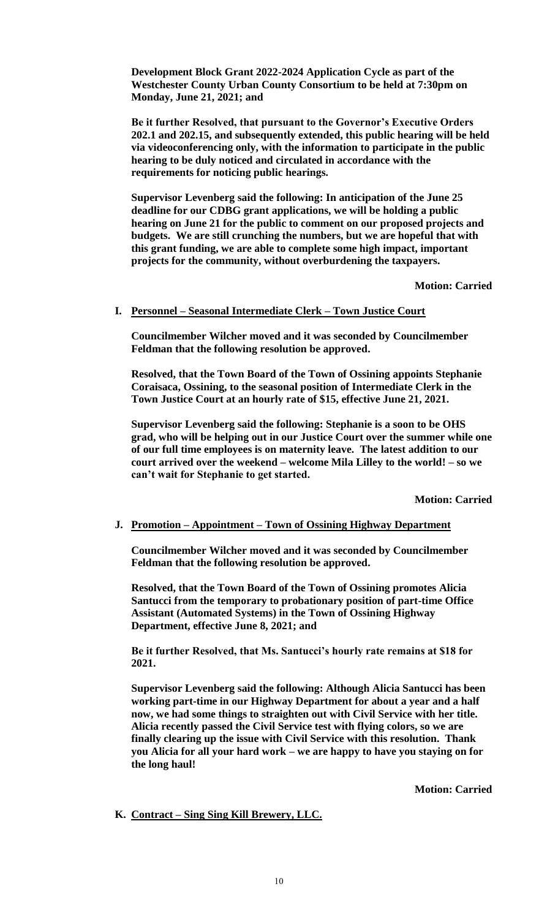**Development Block Grant 2022-2024 Application Cycle as part of the Westchester County Urban County Consortium to be held at 7:30pm on Monday, June 21, 2021; and** 

**Be it further Resolved, that pursuant to the Governor's Executive Orders 202.1 and 202.15, and subsequently extended, this public hearing will be held via videoconferencing only, with the information to participate in the public hearing to be duly noticed and circulated in accordance with the requirements for noticing public hearings.** 

**Supervisor Levenberg said the following: In anticipation of the June 25 deadline for our CDBG grant applications, we will be holding a public hearing on June 21 for the public to comment on our proposed projects and budgets. We are still crunching the numbers, but we are hopeful that with this grant funding, we are able to complete some high impact, important projects for the community, without overburdening the taxpayers.**

**Motion: Carried**

#### **I. Personnel – Seasonal Intermediate Clerk – Town Justice Court**

**Councilmember Wilcher moved and it was seconded by Councilmember Feldman that the following resolution be approved.** 

**Resolved, that the Town Board of the Town of Ossining appoints Stephanie Coraisaca, Ossining, to the seasonal position of Intermediate Clerk in the Town Justice Court at an hourly rate of \$15, effective June 21, 2021.** 

**Supervisor Levenberg said the following: Stephanie is a soon to be OHS grad, who will be helping out in our Justice Court over the summer while one of our full time employees is on maternity leave. The latest addition to our court arrived over the weekend – welcome Mila Lilley to the world! – so we can't wait for Stephanie to get started.**

**Motion: Carried**

#### **J. Promotion – Appointment – Town of Ossining Highway Department**

**Councilmember Wilcher moved and it was seconded by Councilmember Feldman that the following resolution be approved.** 

**Resolved, that the Town Board of the Town of Ossining promotes Alicia Santucci from the temporary to probationary position of part-time Office Assistant (Automated Systems) in the Town of Ossining Highway Department, effective June 8, 2021; and**

**Be it further Resolved, that Ms. Santucci's hourly rate remains at \$18 for 2021.** 

**Supervisor Levenberg said the following: Although Alicia Santucci has been working part-time in our Highway Department for about a year and a half now, we had some things to straighten out with Civil Service with her title. Alicia recently passed the Civil Service test with flying colors, so we are finally clearing up the issue with Civil Service with this resolution. Thank you Alicia for all your hard work – we are happy to have you staying on for the long haul!**

**Motion: Carried**

**K. Contract – Sing Sing Kill Brewery, LLC.**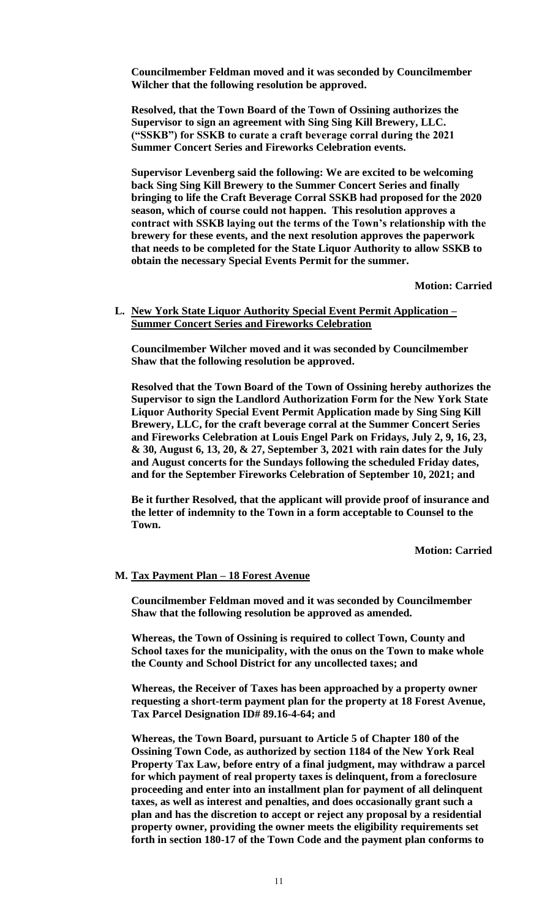**Councilmember Feldman moved and it was seconded by Councilmember Wilcher that the following resolution be approved.** 

**Resolved, that the Town Board of the Town of Ossining authorizes the Supervisor to sign an agreement with Sing Sing Kill Brewery, LLC. ("SSKB") for SSKB to curate a craft beverage corral during the 2021 Summer Concert Series and Fireworks Celebration events.** 

**Supervisor Levenberg said the following: We are excited to be welcoming back Sing Sing Kill Brewery to the Summer Concert Series and finally bringing to life the Craft Beverage Corral SSKB had proposed for the 2020 season, which of course could not happen. This resolution approves a contract with SSKB laying out the terms of the Town's relationship with the brewery for these events, and the next resolution approves the paperwork that needs to be completed for the State Liquor Authority to allow SSKB to obtain the necessary Special Events Permit for the summer.** 

**Motion: Carried**

### **L. New York State Liquor Authority Special Event Permit Application – Summer Concert Series and Fireworks Celebration**

**Councilmember Wilcher moved and it was seconded by Councilmember Shaw that the following resolution be approved.** 

**Resolved that the Town Board of the Town of Ossining hereby authorizes the Supervisor to sign the Landlord Authorization Form for the New York State Liquor Authority Special Event Permit Application made by Sing Sing Kill Brewery, LLC, for the craft beverage corral at the Summer Concert Series and Fireworks Celebration at Louis Engel Park on Fridays, July 2, 9, 16, 23, & 30, August 6, 13, 20, & 27, September 3, 2021 with rain dates for the July and August concerts for the Sundays following the scheduled Friday dates, and for the September Fireworks Celebration of September 10, 2021; and** 

**Be it further Resolved, that the applicant will provide proof of insurance and the letter of indemnity to the Town in a form acceptable to Counsel to the Town.** 

**Motion: Carried**

#### **M. Tax Payment Plan – 18 Forest Avenue**

**Councilmember Feldman moved and it was seconded by Councilmember Shaw that the following resolution be approved as amended.** 

**Whereas, the Town of Ossining is required to collect Town, County and School taxes for the municipality, with the onus on the Town to make whole the County and School District for any uncollected taxes; and** 

**Whereas, the Receiver of Taxes has been approached by a property owner requesting a short-term payment plan for the property at 18 Forest Avenue, Tax Parcel Designation ID# 89.16-4-64; and** 

**Whereas, the Town Board, pursuant to Article 5 of Chapter 180 of the Ossining Town Code, as authorized by section 1184 of the New York Real Property Tax Law, before entry of a final judgment, may withdraw a parcel for which payment of real property taxes is delinquent, from a foreclosure proceeding and enter into an installment plan for payment of all delinquent taxes, as well as interest and penalties, and does occasionally grant such a plan and has the discretion to accept or reject any proposal by a residential property owner, providing the owner meets the eligibility requirements set forth in section 180-17 of the Town Code and the payment plan conforms to**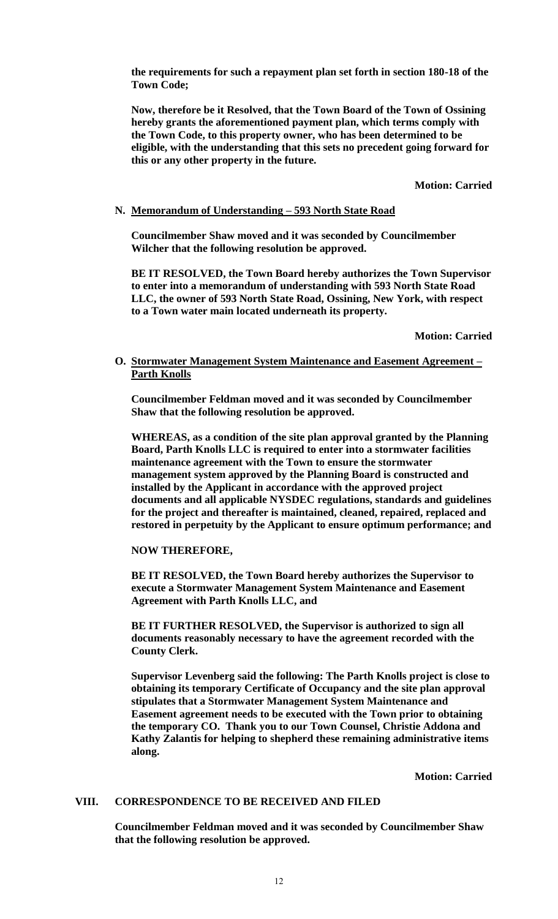**the requirements for such a repayment plan set forth in section 180-18 of the Town Code;** 

**Now, therefore be it Resolved, that the Town Board of the Town of Ossining hereby grants the aforementioned payment plan, which terms comply with the Town Code, to this property owner, who has been determined to be eligible, with the understanding that this sets no precedent going forward for this or any other property in the future.**

**Motion: Carried**

## **N. Memorandum of Understanding – 593 North State Road**

**Councilmember Shaw moved and it was seconded by Councilmember Wilcher that the following resolution be approved.** 

**BE IT RESOLVED, the Town Board hereby authorizes the Town Supervisor to enter into a memorandum of understanding with 593 North State Road LLC, the owner of 593 North State Road, Ossining, New York, with respect to a Town water main located underneath its property.**

**Motion: Carried**

## **O. Stormwater Management System Maintenance and Easement Agreement – Parth Knolls**

**Councilmember Feldman moved and it was seconded by Councilmember Shaw that the following resolution be approved.** 

**WHEREAS, as a condition of the site plan approval granted by the Planning Board, Parth Knolls LLC is required to enter into a stormwater facilities maintenance agreement with the Town to ensure the stormwater management system approved by the Planning Board is constructed and installed by the Applicant in accordance with the approved project documents and all applicable NYSDEC regulations, standards and guidelines for the project and thereafter is maintained, cleaned, repaired, replaced and restored in perpetuity by the Applicant to ensure optimum performance; and**

**NOW THEREFORE,** 

**BE IT RESOLVED, the Town Board hereby authorizes the Supervisor to execute a Stormwater Management System Maintenance and Easement Agreement with Parth Knolls LLC, and**

**BE IT FURTHER RESOLVED, the Supervisor is authorized to sign all documents reasonably necessary to have the agreement recorded with the County Clerk.**

**Supervisor Levenberg said the following: The Parth Knolls project is close to obtaining its temporary Certificate of Occupancy and the site plan approval stipulates that a Stormwater Management System Maintenance and Easement agreement needs to be executed with the Town prior to obtaining the temporary CO. Thank you to our Town Counsel, Christie Addona and Kathy Zalantis for helping to shepherd these remaining administrative items along.**

**Motion: Carried**

#### **VIII. CORRESPONDENCE TO BE RECEIVED AND FILED**

**Councilmember Feldman moved and it was seconded by Councilmember Shaw that the following resolution be approved.**